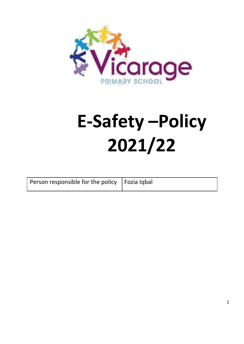

# **E-Safety –Policy 2021/22**

| Person responsible for the policy   Fozia Iqbal |  |
|-------------------------------------------------|--|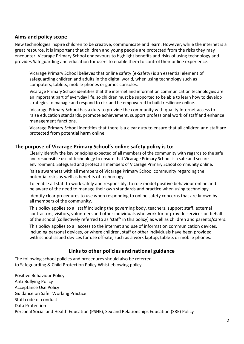## **Aims and policy scope**

New technologies inspire children to be creative, communicate and learn. However, while the internet is a great resource, it is important that children and young people are protected from the risks they may encounter. Vicarage Primary School endeavours to highlight benefits and risks of using technology and provides Safeguarding and education for users to enable them to control their online experience.

Vicarage Primary School believes that online safety (e-Safety) is an essential element of safeguarding children and adults in the digital world, when using technology such as computers, tablets, mobile phones or games consoles.

Vicarage Primary School identifies that the internet and information communication technologies are an important part of everyday life, so children must be supported to be able to learn how to develop strategies to manage and respond to risk and be empowered to build resilience online.

Vicarage Primary School has a duty to provide the community with quality Internet access to raise education standards, promote achievement, support professional work of staff and enhance management functions.

Vicarage Primary School identifies that there is a clear duty to ensure that all children and staff are protected from potential harm online.

#### **The purpose of Vicarage Primary School's online safety policy is to:**

Clearly identify the key principles expected of all members of the community with regards to the safe and responsible use of technology to ensure that Vicarage Primary School is a safe and secure environment. Safeguard and protect all members of Vicarage Primary School community online. Raise awareness with all members of Vicarage Primary School community regarding the potential risks as well as benefits of technology.

To enable all staff to work safely and responsibly, to role model positive behaviour online and be aware of the need to manage their own standards and practice when using technology.

Identify clear procedures to use when responding to online safety concerns that are known by all members of the community.

This policy applies to all staff including the governing body, teachers, support staff, external contractors, visitors, volunteers and other individuals who work for or provide services on behalf of the school (collectively referred to as 'staff' in this policy) as well as children and parents/carers.

This policy applies to all access to the internet and use of information communication devices, including personal devices, or where children, staff or other individuals have been provided with school issued devices for use off-site, such as a work laptop, tablets or mobile phones.

#### **Links to other policies and national guidance**

The following school policies and procedures should also be referred to Safeguarding & Child Protection Policy Whistleblowing policy

Positive Behaviour Policy Anti-Bullying Policy Acceptance Use Policy Guidance on Safer Working Practice Staff code of conduct Data Protection Personal Social and Health Education (PSHE), Sex and Relationships Education (SRE) Policy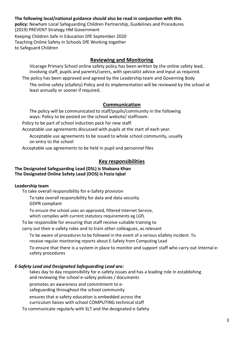#### **The following local/national guidance should also be read in conjunction with this**

**policy:** Newham Local Safeguarding Children Partnership, Guidelines and Procedures (2019) PREVENT Strategy HM Government

Keeping Children Safe in Education DfE September 2020 Teaching Online Safety in Schools DfE Working together to Safeguard Children

#### **Reviewing and Monitoring**

Vicarage Primary School online safety policy has been written by the online safety lead, involving staff, pupils and parents/carers, with specialist advice and input as required.

The policy has been approved and agreed by the Leadership team and Governing Body The online safety (eSafety) Policy and its implementation will be reviewed by the school at least annually or sooner if required.

#### **Communication**

The policy will be communicated to staff/pupils/community in the following ways: Policy to be posted on the school website/ staffroom.

Policy to be part of school induction pack for new staff.

Acceptable use agreements discussed with pupils at the start of each year.

Acceptable use agreements to be issued to whole school community, usually on entry to the school

Acceptable use agreements to be held in pupil and personnel files

#### **Key responsibilities**

#### **The Designated Safeguarding Lead (DSL) is Shabana Khan The Designated Online Safety Lead (DOS) is Fozia Iqbal**

#### **Leadership team**

To take overall responsibility for e-Safety provision

To take overall responsibility for data and data security GDPR compliant

To ensure the school uses an approved, filtered Internet Service, which complies with current statutory requirements eg LGfL

To be responsible for ensuring that staff receive suitable training to

carry out their e-safety roles and to train other colleagues, as relevant

To be aware of procedures to be followed in the event of a serious eSafety incident. To receive regular monitoring reports about E-Safety from Computing Lead

To ensure that there is a system in place to monitor and support staff who carry out internal esafety procedures

#### *E-Safety Lead and Designated Safeguarding Lead are:*

takes day to day responsibility for e-safety issues and has a leading role in establishing and reviewing the school e-safety policies / documents

promotes an awareness and commitment to e-

safeguarding throughout the school community

ensures that e-safety education is embedded across the

curriculum liaises with school COMPUTING technical staff

To communicate regularly with SLT and the designated e-Safety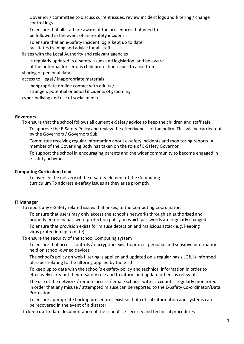Governor / committee to discuss current issues, review incident logs and filtering / change control logs

To ensure that all staff are aware of the procedures that need to be followed in the event of an e-Safety incident

To ensure that an e-Safety incident log is kept up to date facilitates training and advice for all staff

liaises with the Local Authority and relevant agencies

Is regularly updated in e-safety issues and legislation, and be aware

of the potential for serious child protection issues to arise from:

sharing of personal data

access to illegal / inappropriate materials

inappropriate on-line contact with adults /

strangers potential or actual incidents of grooming

cyber-bullying and use of social media

#### **Governors**

To ensure that the school follows all current e-Safety advice to keep the children and staff safe

To approve the E-Safety Policy and review the effectiveness of the policy. This will be carried out by the Governors / Governors Sub

Committee receiving regular information about e-safety incidents and monitoring reports. A member of the Governing Body has taken on the role of E-Safety Governor

To support the school in encouraging parents and the wider community to become engaged in e-safety activities

#### **Computing Curriculum Lead**

To oversee the delivery of the e-safety element of the Computing curriculum To address e-safety issues as they arise promptly

#### **IT Manager**

To report any e-Safety related issues that arises, to the Computing Coordinator.

To ensure that users may only access the school's networks through an authorised and properly enforced password protection policy, in which passwords are regularly changed

To ensure that provision exists for misuse detection and malicious attack e.g. keeping virus protection up to date)

To ensure the security of the school Computing system

To ensure that access controls / encryption exist to protect personal and sensitive information held on school-owned devices

The school's policy on web filtering is applied and updated on a regular basis LGfL is informed of issues relating to the filtering applied by the Grid

To keep up to date with the school's e-safety policy and technical information in order to effectively carry out their e-safety role and to inform and update others as relevant

The use of the network / remote access / email/School Twitter account is regularly monitored in order that any misuse / attempted misuse can be reported to the E-Safety Co-ordinator/Data Protection

To ensure appropriate backup procedures exist so that critical information and systems can be recovered in the event of a disaster.

To keep up-to-date documentation of the school's e-security and technical procedures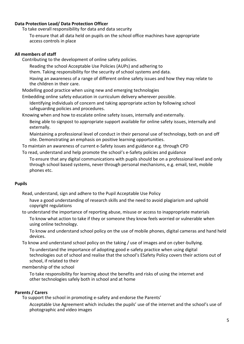#### **Data Protection Lead/ Data Protection Officer**

To take overall responsibility for data and data security

To ensure that all data held on pupils on the school office machines have appropriate access controls in place

#### **All members of staff**

Contributing to the development of online safety policies.

Reading the school Acceptable Use Policies (AUPs) and adhering to

them. Taking responsibility for the security of school systems and data.

Having an awareness of a range of different online safety issues and how they may relate to the children in their care.

Modelling good practice when using new and emerging technologies

Embedding online safety education in curriculum delivery wherever possible.

Identifying individuals of concern and taking appropriate action by following school safeguarding policies and procedures.

Knowing when and how to escalate online safety issues, internally and externally. Being able to signpost to appropriate support available for online safety issues, internally and externally.

Maintaining a professional level of conduct in their personal use of technology, both on and off site. Demonstrating an emphasis on positive learning opportunities.

To maintain an awareness of current e-Safety issues and guidance e.g. through CPD

To read, understand and help promote the school's e-Safety policies and guidance

To ensure that any digital communications with pupils should be on a professional level and only through school based systems, never through personal mechanisms, e.g. email, text, mobile phones etc.

#### **Pupils**

Read, understand, sign and adhere to the Pupil Acceptable Use Policy

have a good understanding of research skills and the need to avoid plagiarism and uphold copyright regulations

to understand the importance of reporting abuse, misuse or access to inappropriate materials To know what action to take if they or someone they know feels worried or vulnerable when using online technology.

To know and understand school policy on the use of mobile phones, digital cameras and hand held devices.

To know and understand school policy on the taking / use of images and on cyber-bullying.

To understand the importance of adopting good e-safety practice when using digital technologies out of school and realise that the school's ESafety Policy covers their actions out of school, if related to their

membership of the school

To take responsibility for learning about the benefits and risks of using the internet and other technologies safely both in school and at home

#### **Parents / Carers**

To support the school in promoting e-safety and endorse the Parents'

Acceptable Use Agreement which includes the pupils' use of the internet and the school's use of photographic and video images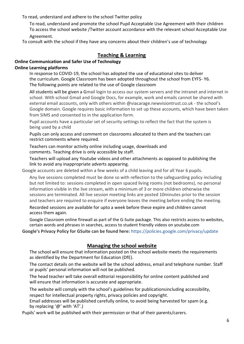To read, understand and adhere to the school Twitter policy

To read, understand and promote the school Pupil Acceptable Use Agreement with their children To access the school website /Twitter account accordance with the relevant school Acceptable Use Agreement.

To consult with the school if they have any concerns about their children's use of technology

# **Teaching & Learning**

## **Online Communication and Safer Use of Technology**

#### **Online Learning platforms**

In response to COVID-19, the school has adopted the use of educational sites to deliver the curriculum. Google Classroom has been adopted throughout the school from EYFS- Y6. The following points are related to the use of Google classroom

All students will be given a Gmail login to access our system servers and the intranet and internet in school. With school Gmail and Google Docs, for example, work and emails cannot be shared with external email accounts, only with others within @viacarage.newvisiontrust.co.uk - the school's Google domain. Google requires basic information to set up these accounts, which have been taken from SIMS and consented to in the application form.

Pupil accounts have a particular set of security settings to reflect the fact that the system is being used by a child

Pupils can only access and comment on classrooms allocated to them and the teachers can restrict comments where required.

Teachers can monitor activity online including usage, downloads and comments. Teaching drive is only accessible by staff.

Teachers will upload any Youtube videos and other attachments as opposed to publishing the link to avoid any inappropriate adverts appearing.

Google accounts are deleted within a few weeks of a child leaving and for all Year 6 pupils.

Any live sessions completed must be done so with reflection to the safeguarding policy including but not limited to: sessions completed in open spaced living rooms (not bedrooms), no personal information visible in the live stream, with a minimum of 3 or more children otherwise the sessions are terminated. All live session meeting links are posted 10minutes prior to the session and teachers are required to enquire if everyone leaves the meeting before ending the meeting.

Recorded sessions are available for upto a week before these expire and children cannot access them again.

Google Classroom online firewall as part of the G-Suite package. This also restricts access to websites, certain words and phrases in searches, access to student friendly videos on youtube.com

**Google's Privacy Policy for GSuite can be found here:** <https://policies.google.com/privacy/update>

# **Managing the school website**

The school will ensure that information posted on the school website meets the requirements as identified by the Department for Education (DfE).

The contact details on the website will be the school address, email and telephone number. Staff or pupils' personal information will not be published.

The head teacher will take overall editorial responsibility for online content published and will ensure that information is accurate and appropriate.

The website will comply with the school's guidelines for publicationsincluding accessibility, respect for intellectual property rights, privacy policies and copyright.

Email addresses will be published carefully online, to avoid being harvested for spam (e.g. by replacing '@' with 'AT'.)

Pupils' work will be published with their permission or that of their parents/carers.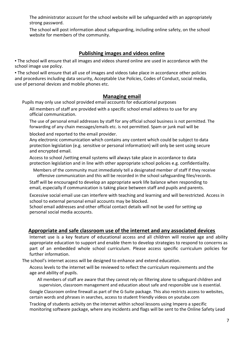The administrator account for the school website will be safeguarded with an appropriately strong password.

The school will post information about safeguarding, including online safety, on the school website for members of the community.

# **Publishing images and videos online**

• The school will ensure that all images and videos shared online are used in accordance with the school image use policy.

▪ The school will ensure that all use of images and videos take place in accordance other policies and procedures including data security, Acceptable Use Policies, Codes of Conduct, social media, use of personal devices and mobile phones etc.

## **Managing email**

Pupils may only use school provided email accounts for educational purposes

All members of staff are provided with a specific school email address to use for any official communication.

The use of personal email addresses by staff for any official school business is not permitted. The forwarding of any chain messages/emails etc. is not permitted. Spam or junk mail will be

blocked and reported to the email provider.

Any electronic communication which contains any content which could be subject to data protection legislation (e.g. sensitive or personal information) will only be sent using secure and encrypted email.

Access to school /setting email systems will always take place in accordance to data protection legislation and in line with other appropriate school policies e.g. confidentiality.

Members of the community must immediately tell a designated member of staff if they receive offensive communication and this will be recorded in the school safeguarding files/records.

Staff will be encouraged to develop an appropriate work life balance when responding to email, especially if communication is taking place between staff and pupils and parents.

Excessive social email use can interfere with teaching and learning and will berestricted. Access in school to external personal email accounts may be blocked.

School email addresses and other official contact details will not be used for setting up personal social media accounts.

## **Appropriate and safe classroom use of the internet and any associated devices**

Internet use is a key feature of educational access and all children will receive age and ability appropriate education to support and enable them to develop strategies to respond to concerns as part of an embedded whole school curriculum. Please access specific curriculum policies for further information.

The school's internet access will be designed to enhance and extend education.

Access levels to the internet will be reviewed to reflect the curriculum requirements and the age and ability of pupils.

All members of staff are aware that they cannot rely on filtering alone to safeguard children and supervision, classroom management and education about safe and responsible use is essential.

Google Classroom online firewall as part of the G-Suite package. This also restricts access to websites, certain words and phrases in searches, access to student friendly videos on youtube.com

Tracking of students activity on the internet within school lessons using Impero a specific monitoring software package, where any incidents and flags will be sent to the Online Safety Lead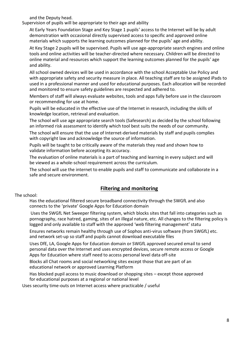and the Deputy head.

Supervision of pupils will be appropriate to their age and ability

At Early Years Foundation Stage and Key Stage 1 pupils' access to the Internet will be by adult demonstration with occasional directly supervised access to specific and approved online materials which supports the learning outcomes planned for the pupils' age and ability.

At Key Stage 2 pupils will be supervised. Pupils will use age-appropriate search engines and online tools and online activities will be teacher-directed where necessary. Children will be directed to online material and resources which support the learning outcomes planned for the pupils' age and ability.

All school owned devices will be used in accordance with the school Acceptable Use Policy and with appropriate safety and security measure in place. All teaching staff are to be assigned iPads to used in a professional manner and used for educational purposes. Each allocation will be recorded and monitored to ensure safety guidelines are respected and adhered to.

Members of staff will always evaluate websites, tools and apps fully before use in the classroom or recommending for use at home.

Pupils will be educated in the effective use of the Internet in research, including the skills of knowledge location, retrieval and evaluation.

The school will use age appropriate search tools (Safesearch) as decided by the school following an informed risk assessment to identify which tool best suits the needs of our community.

The school will ensure that the use of Internet-derived materials by staff and pupils complies with copyright law and acknowledge the source of information.

Pupils will be taught to be critically aware of the materials they read and shown how to validate information before accepting its accuracy.

The evaluation of online materials is a part of teaching and learning in every subject and will be viewed as a whole-school requirement across the curriculum.

The school will use the internet to enable pupils and staff to communicate and collaborate in a safe and secure environment.

# **Filtering and monitoring**

#### The school:

Has the educational filtered secure broadband connectivity through the SWGfL and also connects to the 'private' Google Apps for Education domain

Uses the SWGfL Net Sweeper filtering system, which blocks sites that fall into categories such as pornography, race hatred, gaming, sites of an illegal nature, etc. All changes to the filtering policy is logged and only available to staff with the approved 'web filtering management' statu

Ensures networks remain healthy through use of Sophos anti-virus software (from SWGfL) etc. and network set-up so staff and pupils cannot download executable files

Uses DfE, LA, Google Apps for Education domain or SWGfL approved secured email to send personal data over the Internet and uses encrypted devices, secure remote access or Google Apps for Education where staff need to access personal level data off-site

Blocks all Chat rooms and social networking sites except those that are part of an educational network or approved Learning Platform

Has blocked pupil access to music download or shopping sites – except those approved for educational purposes at a regional or national level

Uses security time-outs on Internet access where practicable / useful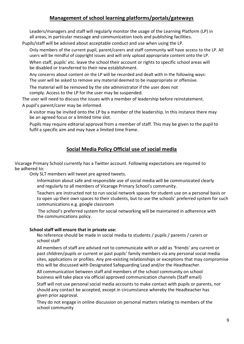# **Management of school learning platforms/portals/gateways**

Leaders/managers and staff will regularly monitor the usage of the Learning Platform (LP) in all areas, in particular message and communication tools and publishing facilities.

Pupils/staff will be advised about acceptable conduct and use when using the LP.

Only members of the current pupil, parent/carers and staff community will have access to the LP. All users will be mindful of copyright issues and will only upload appropriate content onto the LP.

When staff, pupils' etc. leave the school their account or rights to specific school areas will be disabled or transferred to their new establishment.

Any concerns about content on the LP will be recorded and dealt with in the following ways: The user will be asked to remove any material deemed to be inappropriate or offensive.

The material will be removed by the site administrator if the user does not comply. Access to the LP for the user may be suspended.

The user will need to discuss the issues with a member of leadership before reinstatement. A pupil's parent/carer may be informed.

A visitor may be invited onto the LP by a member of the leadership. In this instance there may be an agreed focus or a limited time slot.

Pupils may require editorial approval from a member of staff. This may be given to the pupil to fulfil a specific aim and may have a limited time frame.

# **Social Media Policy Official use of social media**

Vicarage Primary School currently has a Twitter account. Following expectations are required to be adhered to:

Only SLT members will tweet pre agreed tweets.

Information about safe and responsible use of social media will be communicated clearly and regularly to all members of Vicarage Primary School's community.

Teachers are instructed not to run social network spaces for student use on a personal basis or to open up their own spaces to their students, but to use the schools' preferred system for such communications e.g. google classroom

The school's preferred system for social networking will be maintained in adherence with the communications policy.

#### **School staff will ensure that in private use:**

No reference should be made in social media to students / pupils / parents / carers or school staff

All members of staff are advised not to communicate with or add as 'friends' any current or past children/pupils or current or past pupils' family members via any personal social media sites, applications or profiles. Any pre-existing relationships or exceptions that may compromise this will be discussed with Designated Safeguarding Lead and/or the Headteacher.

All communication between staff and members of the school community on school business will take place via official approved communication channels (Staff email)

Staff will not use personal social media accounts to make contact with pupils or parents, nor should any contact be accepted, except in circumstance whereby the Headteacher has given prior approval.

They do not engage in online discussion on personal matters relating to members of the school community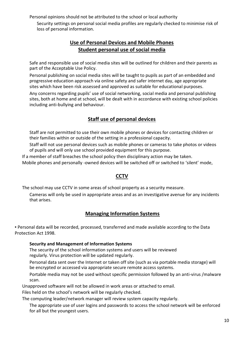Personal opinions should not be attributed to the school or local authority

Security settings on personal social media profiles are regularly checked to minimise risk of loss of personal information.

# **Use of Personal Devices and Mobile Phones Student personal use of social media**

Safe and responsible use of social media sites will be outlined for children and their parents as part of the Acceptable Use Policy.

Personal publishing on social media sites will be taught to pupils as part of an embedded and progressive education approach via online safety and safer internet day, age appropriate sites which have been risk assessed and approved as suitable for educational purposes.

Any concerns regarding pupils' use of social networking, social media and personal publishing sites, both at home and at school, will be dealt with in accordance with existing school policies including anti-bullying and behaviour.

# **Staff use of personal devices**

Staff are not permitted to use their own mobile phones or devices for contacting children or their families within or outside of the setting in a professional capacity.

Staff will not use personal devices such as mobile phones or cameras to take photos or videos of pupils and will only use school provided equipment for this purpose.

If a member of staff breaches the school policy then disciplinary action may be taken. Mobile phones and personally -owned devices will be switched off or switched to 'silent' mode,

# **CCTV**

The school may use CCTV in some areas of school property as a security measure.

Cameras will only be used in appropriate areas and as an investigative avenue for any incidents that arises.

# **Managing Information Systems**

▪ Personal data will be recorded, processed, transferred and made available according to the Data Protection Act 1998.

## **Security and Management of Information Systems**

The security of the school information systems and users will be reviewed regularly. Virus protection will be updated regularly.

Personal data sent over the Internet or taken off site (such as via portable media storage) will be encrypted or accessed via appropriate secure remote access systems.

Portable media may not be used without specific permission followed by an anti-virus /malware scan.

Unapproved software will not be allowed in work areas or attached to email.

Files held on the school's network will be regularly checked.

The computing leader/network manager will review system capacity regularly.

The appropriate use of user logins and passwords to access the school network will be enforced for all but the youngest users.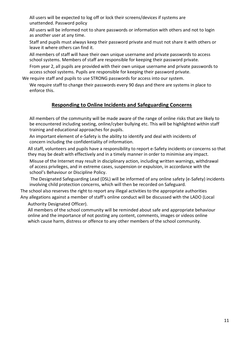All users will be expected to log off or lock their screens/devices if systems are unattended. Password policy

All users will be informed not to share passwords or information with others and not to login as another user at any time.

Staff and pupils must always keep their password private and must not share it with others or leave it where others can find it.

All members of staff will have their own unique username and private passwords to access school systems. Members of staff are responsible for keeping their password private.

From year 2, all pupils are provided with their own unique username and private passwords to access school systems. Pupils are responsible for keeping their password private.

We require staff and pupils to use STRONG passwords for access into our system.

We require staff to change their passwords every 90 days and there are systems in place to enforce this.

# **Responding to Online Incidents and Safeguarding Concerns**

All members of the community will be made aware of the range of online risks that are likely to be encountered including sexting, online/cyber bullying etc. This will be highlighted within staff training and educational approaches for pupils.

An important element of e-Safety is the ability to identify and deal with incidents of concern including the confidentiality of information.

All staff, volunteers and pupils have a responsibility to report e-Safety incidents or concerns so that they may be dealt with effectively and in a timely manner in order to minimise any impact.

Misuse of the Internet may result in disciplinary action, including written warnings, withdrawal of access privileges, and in extreme cases, suspension or expulsion, in accordance with the school's Behaviour or Discipline Policy.

The Designated Safeguarding Lead (DSL) will be informed of any online safety (e-Safety) incidents involving child protection concerns, which will then be recorded on Safeguard.

The school also reserves the right to report any illegal activities to the appropriate authorities Any allegations against a member of staff's online conduct will be discussed with the LADO (Local

Authority Designated Officer).

All members of the school community will be reminded about safe and appropriate behaviour online and the importance of not posting any content, comments, images or videos online which cause harm, distress or offence to any other members of the school community.